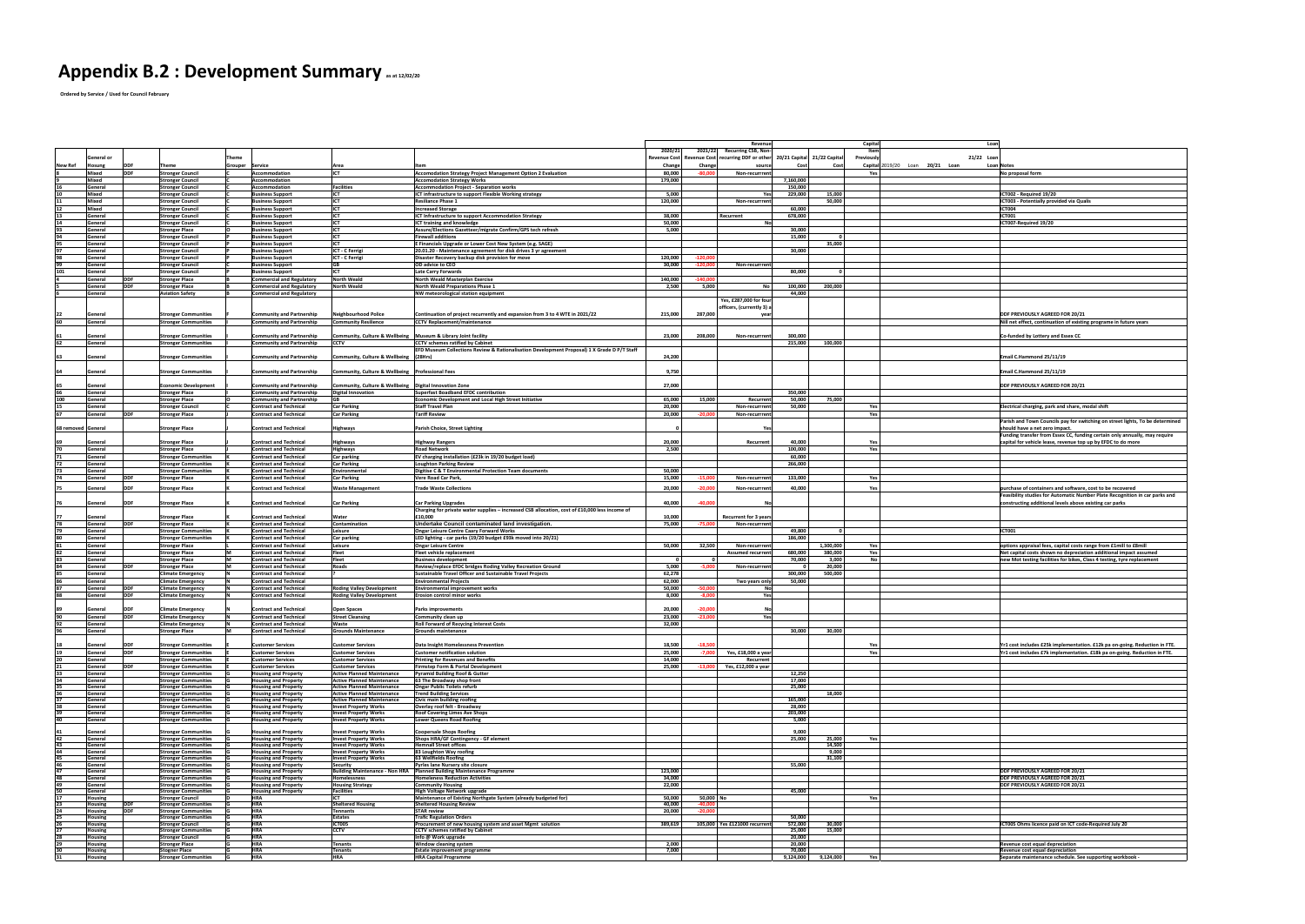## **Appendix B.2 : Development Summary as at 12/02/20**

 **Ordered by Service / Used for Council February**

|                    |                           |             |                                                            |                                                            |                                                                        |                                                                                                |                |            | Revenue                                                                      |                  |                  | <b>Capital</b><br>Loan                                                           |
|--------------------|---------------------------|-------------|------------------------------------------------------------|------------------------------------------------------------|------------------------------------------------------------------------|------------------------------------------------------------------------------------------------|----------------|------------|------------------------------------------------------------------------------|------------------|------------------|----------------------------------------------------------------------------------|
|                    |                           |             |                                                            |                                                            |                                                                        |                                                                                                | 2020/21        |            | 2021/22 Recurring CSB, Non-                                                  |                  |                  | Item                                                                             |
|                    | General or                |             |                                                            | Theme                                                      |                                                                        |                                                                                                |                |            | Revenue Cost Revenue Cost recurring DDF or other 20/21 Capital 21/22 Capital |                  |                  | 21/22 Loan<br>Previously                                                         |
| <b>New Ref</b>     | losung                    |             | <b>Theme</b>                                               | Grouper Service                                            | Area                                                                   |                                                                                                | <b>Change</b>  | Change     | souro                                                                        |                  | Cos              | Loan 20/21 Loan<br>Capital $2019/20$<br><b>Loan Notes</b>                        |
|                    | Mixed                     | <b>IDDF</b> | <b>Stronger Council</b>                                    | Accommodation                                              | <b>IICT</b>                                                            | <b>Accomodation Strategy Project Management Option 2 Evaluation</b>                            | 80,000         | $-80.000$  | <b>Non-recurrrer</b>                                                         |                  |                  | No proposal form<br>Yes                                                          |
|                    | <b>Mixed</b>              |             | <b>Stronger Council</b>                                    | Accommodation                                              |                                                                        | <b>Accomodation Strategy Works</b>                                                             | 179,000        |            |                                                                              | 7,160,000        |                  |                                                                                  |
|                    | <b>General</b>            |             | <b>Stronger Council</b>                                    | <b>Accommodation</b>                                       | <b>Facilities</b><br>ICT                                               | <b>Accommodation Project - Separation works</b>                                                |                |            |                                                                              | 150,000          |                  |                                                                                  |
|                    | Mixed                     |             | <b>Stronger Council</b>                                    | <b>Business Support</b>                                    |                                                                        | ICT infrastructure to support Flexible Working strategy                                        | 5,000          |            |                                                                              | 229,000          | 15,000<br>50,000 | ICT002 - Required 19/20                                                          |
|                    | <b>Mixed</b><br>Mixed     |             | <b>Stronger Council</b><br><b>Stronger Council</b>         | <b>Business Support</b><br><b>Business Support</b>         | <b>ICT</b><br><b>ICT</b>                                               | <b>Resiliance Phase 1</b><br><b>Increased Storage</b>                                          | 120,000        |            | Non-recurrren                                                                | 60,000           |                  | <b>ICT003 - Potentially provided via Qualis</b><br><b>ICT004</b>                 |
|                    | <b>General</b>            |             | <b>Stronger Council</b>                                    | <b>Business Support</b>                                    | <b>ICT</b>                                                             | <b>ICT Infrastructure to support Accommodation Strategy</b>                                    | 38,000         |            | Recurrent                                                                    | 678,000          |                  | <b>ICT001</b>                                                                    |
|                    | General                   |             | <b>Stronger Council</b>                                    | <b>Business Support</b>                                    | <b>IICT</b>                                                            | <b>ICT training and knowledge</b>                                                              | 50,000         |            |                                                                              |                  |                  | ICT007-Required 19/20                                                            |
|                    | General                   |             | <b>Stronger Place</b>                                      | <b>Business Support</b>                                    | <b>IICT</b>                                                            | Assure/Elections Gazetteer/migrate Confirm/GPS tech refresh                                    | 5,000          |            |                                                                              | 30,000           |                  |                                                                                  |
|                    | <b>General</b>            |             | <b>Stronger Council</b>                                    | <b>Business Support</b>                                    | <b>ICT</b>                                                             | <b>Firewall additions</b>                                                                      |                |            |                                                                              | 15.000           |                  |                                                                                  |
|                    | General                   |             | <b>Stronger Council</b>                                    | <b>Business Support</b>                                    | <b>ICT</b>                                                             | E Financials Upgrade or Lower Cost New System (e.g. SAGE)                                      |                |            |                                                                              |                  | 35,000           |                                                                                  |
|                    | General                   |             | <b>Stronger Council</b>                                    | <b>Business Support</b>                                    | ICT - C Ferrigi                                                        | 20.01.20 - Maintenance agreement for disk drives 3 yr agreement                                |                |            |                                                                              | 30,000           |                  |                                                                                  |
|                    | General                   |             | <b>Stronger Council</b>                                    | <b>Business Support</b>                                    | ICT - C Ferrigi                                                        | Disaster Recovery backup disk provision for move                                               | 120,000        | $-120,000$ |                                                                              |                  |                  |                                                                                  |
|                    | <b>General</b>            |             | <b>Stronger Council</b>                                    | <b>Business Support</b>                                    | <b>GB</b>                                                              | OD advice to CEO                                                                               | 30,000         | $-120.000$ | Non-recurrren                                                                |                  |                  |                                                                                  |
|                    | General                   |             | <b>Stronger Council</b>                                    | <b>Business Support</b>                                    |                                                                        | <b>Late Carry Forwards</b>                                                                     |                |            |                                                                              | 80,000           |                  |                                                                                  |
|                    | <b>General</b>            | <b>IDDF</b> | <b>Stronger Place</b>                                      | <b>Commercial and Regulatory</b>                           | <b>North Weald</b>                                                     | North Weald Masterplan Exercise                                                                | 140,000        | $-140.000$ |                                                                              |                  |                  |                                                                                  |
|                    | General                   |             | <b>Stronger Place</b>                                      | <b>Commercial and Regulatory</b>                           | North Weald                                                            | <b>North Weald Preparations Phase 1</b>                                                        | 2,500          | 5,000      |                                                                              | 100,000          | 200,000          |                                                                                  |
|                    | <b>General</b>            |             | <b>Aviation Safety</b>                                     | <b>Commercial and Regulatory</b>                           |                                                                        | NW meteorological station equipment                                                            |                |            |                                                                              | 44,000           |                  |                                                                                  |
|                    |                           |             |                                                            |                                                            |                                                                        |                                                                                                |                |            | Yes, £287,000 for four                                                       |                  |                  |                                                                                  |
|                    |                           |             |                                                            |                                                            |                                                                        |                                                                                                |                |            | officers, (currently 3) a                                                    |                  |                  |                                                                                  |
|                    | General                   |             | <b>Stronger Communities</b>                                | <b>Community and Partnership</b>                           | <b>Neighbourhood Police</b>                                            | Continuation of project recurrently and expansion from 3 to 4 WTE in 2021/22                   | 215,000        | 287,000    |                                                                              |                  |                  | <b>DDF PREVIOUSLY AGREED FOR 20/21</b>                                           |
|                    | <b>General</b>            |             | <b>Stronger Communities</b>                                | <b>Community and Partnership</b>                           | <b>Community Resilience</b>                                            | <b>CCTV Replacement/maintenance</b>                                                            |                |            |                                                                              |                  |                  | Nill net effect, continuation of existing programe in future years               |
|                    |                           |             |                                                            |                                                            |                                                                        |                                                                                                |                |            |                                                                              |                  |                  |                                                                                  |
|                    | General                   |             | <b>Stronger Communities</b>                                | <b>Community and Partnership</b>                           | <b>Community, Culture &amp; Wellbeing</b>                              | Museum & Library Joint facility                                                                | 23,000         | 208,000    | <b>Non-recurrrent</b>                                                        | 300.000          |                  | Co-funded by Lottery and Essex CC                                                |
|                    | General                   |             | <b>Stronger Communities</b>                                | <b>Community and Partnership</b>                           | <b>CCTV</b>                                                            | <b>CCTV</b> schemes ratified by Cabinet                                                        |                |            |                                                                              | 215,000          | 100,000          |                                                                                  |
|                    |                           |             |                                                            |                                                            |                                                                        | EFD Museum Collections Review & Rationalisation Development Proposal) 1 X Grade D P/T Staff    |                |            |                                                                              |                  |                  |                                                                                  |
|                    | General                   |             | <b>Stronger Communities</b>                                | <b>Community and Partnership</b>                           | Community, Culture & Wellbeing                                         | (28Hrs)                                                                                        | 24,200         |            |                                                                              |                  |                  | Email C.Hammond 25/11/19                                                         |
|                    |                           |             |                                                            |                                                            | Community, Culture & Wellbeing   Professional Fees                     |                                                                                                | 9,750          |            |                                                                              |                  |                  | Email C.Hammond 25/11/19                                                         |
|                    | General                   |             | <b>Stronger Communities</b>                                | <b>Community and Partnership</b>                           |                                                                        |                                                                                                |                |            |                                                                              |                  |                  |                                                                                  |
|                    | <b>General</b>            |             | <b>Economic Development</b>                                | <b>Community and Partnership</b>                           | Community, Culture & Wellbeing   Digital Innovation Zone               |                                                                                                | 27,000         |            |                                                                              |                  |                  | <b>DDF PREVIOUSLY AGREED FOR 20/21</b>                                           |
|                    | <b>General</b>            |             | <b>Stronger Place</b>                                      | <b>Community and Partnership</b>                           | <b>Digital Innovation</b>                                              | <b>Superfast Boadband EFDC contribution</b>                                                    |                |            |                                                                              | 350,000          |                  |                                                                                  |
| 100                | General                   |             | <b>Stronger Place</b>                                      | <b>Community and Partnership</b>                           |                                                                        | <b>Economic Development and Local High Street Initiative</b>                                   | 65,000         | 15,000     | Recurren                                                                     | 50,000           | 75,000           |                                                                                  |
|                    | General                   |             | <b>Stronger Council</b>                                    | <b>Contract and Technical</b>                              | <b>Car Parking</b>                                                     | <b>Staff Travel Plan</b>                                                                       | 20,000         |            | Non-recurrren                                                                | 50,000           |                  | Electrical charging, park and share, modal shift<br>Ye:                          |
|                    | General                   |             | <b>Stronger Place</b>                                      | <b>Contract and Technical</b>                              | <b>Car Parking</b>                                                     | <b>Tariff Review</b>                                                                           | 20,000         | $-20,000$  | Non-recurrren <sup>®</sup>                                                   |                  |                  | Yes                                                                              |
|                    |                           |             |                                                            |                                                            |                                                                        |                                                                                                |                |            |                                                                              |                  |                  | Parish and Town Councils pay for switching on street lights, To be determined    |
| 68 removed General |                           |             | <b>Stronger Place</b>                                      | <b>Contract and Technical</b>                              | <b>Highways</b>                                                        | <b>Parish Choice, Street Lighting</b>                                                          |                |            |                                                                              |                  |                  | should have a net zero impact.                                                   |
|                    |                           |             |                                                            |                                                            |                                                                        |                                                                                                |                |            |                                                                              |                  |                  | Funding transfer from Essex CC, funding certain only annually, may require       |
|                    | General                   |             | <b>Stronger Place</b>                                      | <b>Contract and Technical</b>                              | <b>Highways</b>                                                        | <b>Highway Rangers</b>                                                                         | 20,000         |            | Recurrent                                                                    | 40,000           |                  | capital for vehicle lease, revenue top up by EFDC to do more                     |
|                    | General                   |             | <b>Stronger Place</b>                                      | <b>Contract and Technical</b>                              | <b>Highways</b>                                                        | <b>Road Network</b>                                                                            | 2,500          |            |                                                                              | 100.000          |                  | Yes                                                                              |
|                    | General                   |             | <b>Stronger Communities</b>                                | <b>Contract and Technical</b>                              | Car parking                                                            | EV charging installation (£23k in 19/20 budget load)                                           |                |            |                                                                              | 60,000           |                  |                                                                                  |
|                    | <b>General</b>            |             | <b>Stronger Communities</b>                                | <b>Contract and Technical</b>                              | <b>Car Parking</b>                                                     | <b>Loughton Parking Review</b>                                                                 |                |            |                                                                              | 266,000          |                  |                                                                                  |
|                    | General                   |             | <b>Stronger Communities</b>                                | <b>Contract and Technical</b>                              | <b>Environmental</b>                                                   | Digitise C & T Environmental Protection Team documents                                         | 50,000         |            |                                                                              |                  |                  |                                                                                  |
|                    | <b>General</b>            | <b>IDDE</b> | <b>Stronger Place</b>                                      | <b>Contract and Technical</b>                              | <b>Car Parking</b>                                                     | <b>Vere Road Car Park,</b>                                                                     | 15,000         | $-15.000$  | Non-recurrren                                                                | 133,000          |                  | Yes                                                                              |
|                    |                           |             |                                                            | <b>Contract and Technical</b>                              |                                                                        | <b>Trade Waste Collections</b>                                                                 | 20,000         |            | Non-recurrren                                                                | 40,000           |                  | purchase of containers and software, cost to be recovered<br>Yes                 |
|                    | <b>Genera</b>             |             | <b>Stronger Place</b>                                      |                                                            | <b>Waste Management</b>                                                |                                                                                                |                |            |                                                                              |                  |                  | Feasibility studies for Automatic Number Plate Recognition in car parks and      |
|                    | <b>General</b>            | <b>IDDF</b> | <b>Stronger Place</b>                                      | <b>Contract and Technical</b>                              | <b>Car Parking</b>                                                     | <b>Car Parking Upgrades</b>                                                                    | 40,000         | $-40,000$  |                                                                              |                  |                  | constructing additional levels above existing car parks                          |
|                    |                           |             |                                                            |                                                            |                                                                        | Charging for private water supplies - increased CSB allocation, cost of £10,000 less income of |                |            |                                                                              |                  |                  |                                                                                  |
|                    | General                   |             | <b>Stronger Place</b>                                      | <b>Contract and Technical</b>                              | Water                                                                  | £10,000                                                                                        | 10,000         |            | <b>Recurrent for 3 years</b>                                                 |                  |                  |                                                                                  |
|                    | General                   | <b>IDDF</b> | <b>Stronger Place</b>                                      | <b>Contract and Technical</b>                              | <b>Contamination</b>                                                   | Undertake Council contaminated land investigation.                                             | 75,000         | $-75,000$  | Non-recurrren                                                                |                  |                  |                                                                                  |
|                    | General                   |             | <b>Stronger Communities</b>                                | <b>Contract and Technical</b>                              | Leisure                                                                | <b>Ongar Leisure Centre Caary Forward Works</b>                                                |                |            |                                                                              | 49,800           |                  | ICT001                                                                           |
|                    | <b>General</b>            |             | <b>Stronger Communities</b>                                | <b>Contract and Technical</b>                              | Car parking                                                            | LED lighting - car parks (19/20 budget £93k moved into 20/21)                                  |                |            |                                                                              | 186.000          |                  |                                                                                  |
|                    | General                   |             | <b>Stronger Place</b>                                      | <b>Contract and Technical</b>                              | Leisure                                                                | <b>Ongar Leisure Centre</b>                                                                    | 50,000         | 32,500     | Non-recurrren                                                                |                  | 1,300,000        | options appraisal fees, capital costs range from £1mill to £8mill<br>Yes         |
|                    | General                   |             | <b>Stronger Place</b>                                      | <b>Contract and Technical</b>                              | <b>Fleet</b>                                                           | <b>Fleet vehicle replacement</b>                                                               |                |            | <b>Assumed recurren</b>                                                      | 680,000          | 380,000          | Net capital costs shown no depreciation additional impact assumed                |
|                    | General                   |             | <b>Stronger Place</b>                                      | <b>Contract and Technical</b>                              | <b>Fleet</b>                                                           | <b>Business development</b>                                                                    |                |            |                                                                              | 70,000           | 3,000            | new Mot testing facilities for bikes, Class 4 testing, tyre replacement          |
|                    | General                   | <b>IDDF</b> | <b>Stronger Place</b>                                      | <b>Contract and Technical</b>                              | Roads                                                                  | <b>Review/replace EFDC bridges Roding Valley Recreation Ground</b>                             | 5,000          | $-5.000$   | Non-recurrren                                                                |                  | 20,000           |                                                                                  |
|                    | General                   |             | <b>Climate Emergency</b>                                   | <b>Contract and Technical</b>                              |                                                                        | <b>Sustainable Travel Officer and Sustainable Travel Projects</b>                              | 62,278         |            |                                                                              | 300,000          | 500,000          |                                                                                  |
|                    | <b>General</b>            |             | <b>Climate Emergency</b>                                   | <b>Contract and Technical</b>                              |                                                                        | <b>Environmental Projects</b>                                                                  | 62,000         |            | Two years onl                                                                | 50,000           |                  |                                                                                  |
|                    | General                   | <b>IDDF</b> | <b>Climate Emergency</b>                                   | <b>Contract and Technical</b>                              | <b>Roding Valley Development</b>                                       | <b>Environmental improvement works</b>                                                         | 50,000         | $-50.000$  |                                                                              |                  |                  |                                                                                  |
|                    | General                   | <b>IDDF</b> | <b>Climate Emergency</b>                                   | <b>Contract and Technical</b>                              | <b>Roding Valley Development</b>                                       | <b>Erosion control minor works</b>                                                             | 8,000          | $-8.000$   | <b>Yes</b>                                                                   |                  |                  |                                                                                  |
|                    |                           |             |                                                            |                                                            |                                                                        |                                                                                                |                |            |                                                                              |                  |                  |                                                                                  |
|                    | <b>Seneral</b>            | <b>IDDF</b> | <b>Climate Emergency</b>                                   | <b>Contract and Technical</b>                              | <b>Open Spaces</b>                                                     | <b>Parks improvements</b>                                                                      | 20,000         | $-20,000$  |                                                                              |                  |                  |                                                                                  |
|                    | General                   | <b>IDDF</b> | <b>Climate Emergency</b>                                   | <b>Contract and Technical</b>                              | <b>Street Cleansing</b>                                                | Community clean up                                                                             | 23,000         | $-23,000$  | Yes                                                                          |                  |                  |                                                                                  |
|                    | General                   |             | <b>Climate Emergency</b>                                   | <b>Contract and Technical</b>                              | Waste                                                                  | <b>Roll Forward of Recycing Interest Costs</b>                                                 | 32,000         |            |                                                                              |                  |                  |                                                                                  |
|                    | General                   |             | <b>Stronger Place</b>                                      | <b>Contract and Technical</b>                              | <b>Grounds Maintenance</b>                                             | <b>Grounds maintenance</b>                                                                     |                |            |                                                                              | 30,000           | 30,000           |                                                                                  |
|                    |                           |             |                                                            |                                                            |                                                                        |                                                                                                |                |            |                                                                              |                  |                  |                                                                                  |
|                    | <b>General</b>            | <b>IDDF</b> | <b>Stronger Communities</b>                                | <b>Customer Services</b>                                   | <b>Customer Services</b>                                               | Data Insight Homelessness Prevention                                                           | 18,500         | $-18.50$   |                                                                              |                  |                  | Yr1 cost includes £25k implementation. £12k pa on-going. Reduction in FTE.       |
|                    | General                   |             | <b>Stronger Communities</b>                                | <b>Customer Services</b>                                   | <b>Customer Services</b>                                               | <b>Customer notification solution</b>                                                          | 25,000         |            | Yes, £18,000 a yea                                                           |                  |                  | Yr1 cost includes £7k implementation. £18k pa on-going. Reduction in FTE.<br>Yes |
|                    | General                   |             | <b>Stronger Communities</b>                                | <b>Customer Services</b>                                   | <b>Customer Services</b>                                               | <b>Printing for Revenues and Benefits</b>                                                      | 14,000         |            | Recurren                                                                     |                  |                  |                                                                                  |
|                    | General                   |             | <b>Stronger Communities</b>                                | <b>Customer Services</b>                                   | <b>Customer Services</b>                                               | <b>Firmstep Form &amp; Portal Development</b><br><b>Pyramid Building Roof &amp; Gutter</b>     | 25,000         |            | Yes, £12,000 a year                                                          | 12,250           |                  |                                                                                  |
|                    | General<br>General        |             | <b>Stronger Communities</b><br><b>Stronger Communities</b> | <b>Housing and Property</b><br><b>Housing and Property</b> | <b>Active Planned Maintenance</b><br><b>Active Planned Maintenance</b> | 63 The Broadway shop front                                                                     |                |            |                                                                              | 17,000           |                  |                                                                                  |
|                    | General                   |             | <b>Stronger Communities</b>                                | <b>Housing and Property</b>                                | <b>Active Planned Maintenance</b>                                      | <b>Ongar Public Toilets refurb</b>                                                             |                |            |                                                                              | 25,000           |                  |                                                                                  |
|                    | General                   |             | <b>Stronger Communities</b>                                | <b>Housing and Property</b>                                | <b>Active Planned Maintenance</b>                                      | <b>Trend Building Services</b>                                                                 |                |            |                                                                              |                  | 18,000           |                                                                                  |
|                    | General                   |             | <b>Stronger Communities</b>                                | <b>Housing and Property</b>                                | <b>Active Planned Maintenance</b>                                      | Civic main building roofing                                                                    |                |            |                                                                              | 165,000          |                  |                                                                                  |
|                    | General                   |             | <b>Stronger Communities</b>                                | <b>Housing and Property</b>                                | <b>Invest Property Works</b>                                           | Overlay roof felt - Broadway                                                                   |                |            |                                                                              | 28,000           |                  |                                                                                  |
|                    | General                   |             | <b>Stronger Communities</b>                                | <b>Housing and Property</b>                                | <b>Invest Property Works</b>                                           | <b>Roof Covering Limes Ave Shops</b>                                                           |                |            |                                                                              | 203,000          |                  |                                                                                  |
|                    | General                   |             | <b>Stronger Communities</b>                                | <b>Housing and Property</b>                                | <b>Invest Property Works</b>                                           | <b>Lower Queens Road Roofing</b>                                                               |                |            |                                                                              | 5,000            |                  |                                                                                  |
|                    | <b>General</b>            |             | <b>Stronger Communities</b>                                | <b>Housing and Property</b>                                | <b>Invest Property Works</b>                                           | <b>Coopersale Shops Roofing</b>                                                                |                |            |                                                                              | 9,000            |                  |                                                                                  |
|                    | General                   |             | <b>Stronger Communities</b>                                | <b>Housing and Property</b>                                | <b>Invest Property Works</b>                                           | Shops HRA/GF Contingency - GF element                                                          |                |            |                                                                              | 25,000           | 25,000           | Yes                                                                              |
|                    | General                   |             | <b>Stronger Communities</b>                                | <b>Housing and Property</b>                                | <b>Invest Property Works</b>                                           | <b>Hemnall Street offices</b>                                                                  |                |            |                                                                              |                  | 14,500           |                                                                                  |
|                    | General                   |             | <b>Stronger Communities</b>                                | <b>Housing and Property</b>                                | <b>Invest Property Works</b>                                           | 83 Loughton Way roofing                                                                        |                |            |                                                                              |                  | 9,000            |                                                                                  |
|                    | General                   |             | <b>Stronger Communities</b>                                | <b>Housing and Property</b>                                | <b>Invest Property Works</b>                                           | 63 Wellfields Roofing                                                                          |                |            |                                                                              |                  | 31,100           |                                                                                  |
|                    | General                   |             | <b>Stronger Communities</b>                                | <b>Housing and Property</b>                                | <b>Security</b>                                                        | <b>Pyrles lane Nursery site closure</b>                                                        |                |            |                                                                              | 55,000           |                  |                                                                                  |
|                    | General                   |             | <b>Stronger Communities</b>                                | <b>Housing and Property</b>                                | <b>Building Maintenance - Non HRA</b>                                  | Planned Building Maintenance Programme                                                         | 123,000        |            |                                                                              |                  |                  | <b>DDF PREVIOUSLY AGREED FOR 20/21</b>                                           |
|                    | General                   |             | <b>Stronger Communities</b>                                | <b>Housing and Property</b>                                | <b>Homelessness</b>                                                    | <b>Homeleness Reduction Activities</b>                                                         | 34,000         |            |                                                                              |                  |                  | <b>DDF PREVIOUSLY AGREED FOR 20/21</b>                                           |
|                    | General<br>General        |             | <b>Stronger Communities</b><br><b>Stronger Communities</b> | <b>Housing and Property</b>                                | <b>Housing Strategy</b><br><b>Facilities</b>                           | <b>Community Housing</b><br>High Voltage Network upgrade                                       | 22,000         |            |                                                                              | 45,000           |                  | <b>DDF PREVIOUSLY AGREED FOR 20/21</b>                                           |
|                    | lousing                   |             | <b>Stronger Council</b>                                    | <b>Housing and Property</b><br><b>HRA</b>                  |                                                                        | Maintenance of Existing Northgate System (already budgeted for)                                | 50,000         | 50,000 No  |                                                                              |                  |                  | Yes                                                                              |
|                    | lousing                   |             | <b>Stronger Communities</b>                                | <b>HRA</b>                                                 | <b>Sheltered Housing</b>                                               | <b>Sheltered Housing Review</b>                                                                | 40,000         | $-40.000$  |                                                                              |                  |                  |                                                                                  |
|                    | Housing                   |             | <b>Stronger Communities</b>                                | <b>HRA</b>                                                 | Tennants                                                               | <b>STAR review</b>                                                                             | 20,000         | $-20,000$  |                                                                              |                  |                  |                                                                                  |
|                    | <b>Housing</b>            |             | Stronger Communities                                       | <b>HRA</b>                                                 | Estates                                                                | <b>Trafic Regulation Orders</b>                                                                |                |            |                                                                              | 50,000           |                  |                                                                                  |
|                    | Housing                   |             | <b>Stronger Council</b>                                    | <b>HRA</b>                                                 | <b>ICT005</b>                                                          | Procurement of new housing system and asset Mgmt solution                                      | 389,619        |            | 105,000 Yes £121000 recurrent                                                | 572,000          | 30,000           | ICT005 Ohms licence paid on ICT code-Required July 20                            |
|                    | <b>Housing</b>            |             | <b>Stronger Communities</b>                                | <b>HRA</b>                                                 | <b>CCTV</b>                                                            | <b>CCTV</b> schemes ratified by Cabinet                                                        |                |            |                                                                              | 25,000           | 15.000           |                                                                                  |
|                    | Housing                   |             | <b>Stronger Council</b>                                    | <b>HRA</b><br><b>HRA</b>                                   |                                                                        | Info @ Work upgrade                                                                            |                |            |                                                                              | 20,000           |                  |                                                                                  |
|                    | <b>Housing</b><br>Housing |             | <b>Stronger Place</b><br><b>Stogner Place</b>              | <b>HRA</b>                                                 | <b>Tenants</b><br>Tenants                                              | <b>Window cleaning system</b>                                                                  | 2,000<br>7,000 |            |                                                                              | 20,000<br>70,000 |                  | Revenue cost equal depreciation<br>Revenue cost equal depreciation               |
|                    | Housing                   |             | <b>Stronger Communities</b>                                | <b>HRA</b>                                                 | <b>HRA</b>                                                             | <b>Estate improvement programme</b><br><b>HRA Capital Programme</b>                            |                |            |                                                                              | 9,124,000        | 9,124,000        | Separate maintenance schedule. See supporting workbook -<br>Yes                  |
|                    |                           |             |                                                            |                                                            |                                                                        |                                                                                                |                |            |                                                                              |                  |                  |                                                                                  |